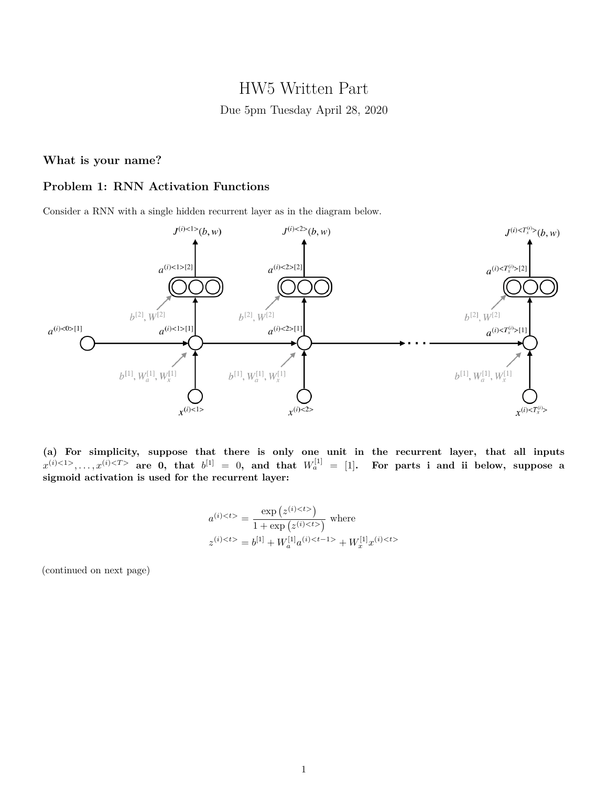# HW5 Written Part Due 5pm Tuesday April 28, 2020

## **What is your name?**

# **Problem 1: RNN Activation Functions**

Consider a RNN with a single hidden recurrent layer as in the diagram below.



**(a) For simplicity, suppose that there is only one unit in the recurrent layer, that all inputs**  $x^{(i) < 1>}, \ldots, x^{(i) < T>}$  are 0, that  $b^{[1]} = 0$ , and that  $W_a^{[1]} = [1]$ . For parts i and ii below, suppose a **sigmoid activation is used for the recurrent layer:**

$$
a^{(i) < t>} = \frac{\exp(z^{(i) < t>})}{1 + \exp(z^{(i) < t>})}
$$
 where  

$$
z^{(i) < t>} = b^{[1]} + W_a^{[1]} a^{(i) < t-1>} + W_x^{[1]} x^{(i) < t>}
$$

(continued on next page)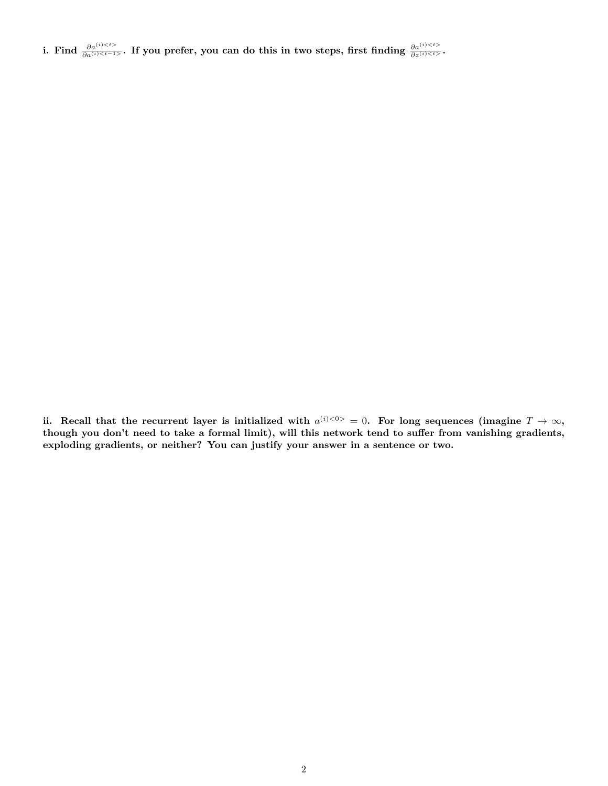i. Find  $\frac{\partial a^{(i) < t>}{\partial a^{(i) < t-1>}$ , If you prefer, you can do this in two steps, first finding  $\frac{\partial a^{(i) < t>}{\partial a^{(i) < t>}}}{\partial a^{(i) < t>}}$ .

ii. Recall that the recurrent layer is initialized with  $a^{(i) < 0>} = 0$ . For long sequences (imagine  $T \to \infty$ , **though you don't need to take a formal limit), will this network tend to suffer from vanishing gradients, exploding gradients, or neither? You can justify your answer in a sentence or two.**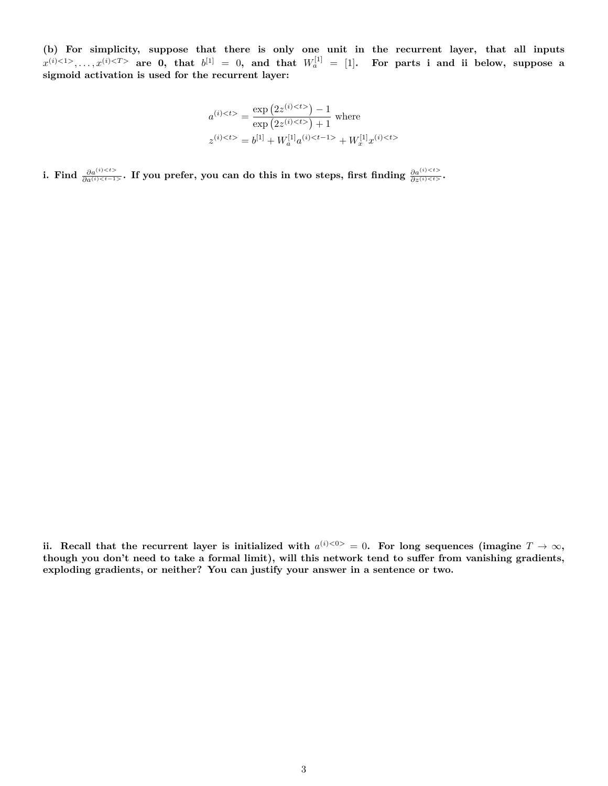**(b) For simplicity, suppose that there is only one unit in the recurrent layer, that all inputs**  $x^{(i) < 1>}, \ldots, x^{(i) < T>}$  are 0, that  $b^{[1]} = 0$ , and that  $W_a^{[1]} = [1]$ . For parts i and ii below, suppose a **sigmoid activation is used for the recurrent layer:**

$$
a^{(i) < t>} = \frac{\exp (2z^{(i) < t>}) - 1}{\exp (2z^{(i) < t>}) + 1}
$$
 where  

$$
z^{(i) < t>} = b^{[1]} + W_a^{[1]} a^{(i) < t-1>} + W_x^{[1]} x^{(i) < t>}
$$

i. Find  $\frac{\partial a^{(i) < t>}{\partial a^{(i) < t-1>}$ . If you prefer, you can do this in two steps, first finding  $\frac{\partial a^{(i) < t>}{\partial a^{(i) < t>}}}{\partial a^{(i) < t>}}$ .

ii. Recall that the recurrent layer is initialized with  $a^{(i) < 0>} = 0$ . For long sequences (imagine  $T \to \infty$ , **though you don't need to take a formal limit), will this network tend to suffer from vanishing gradients, exploding gradients, or neither? You can justify your answer in a sentence or two.**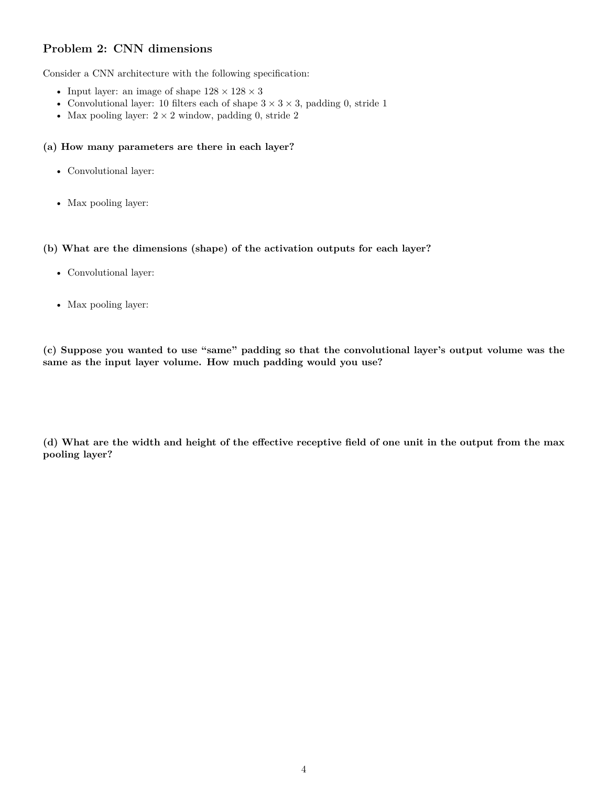# **Problem 2: CNN dimensions**

Consider a CNN architecture with the following specification:

- Input layer: an image of shape  $128 \times 128 \times 3$
- Convolutional layer: 10 filters each of shape  $3 \times 3 \times 3$ , padding 0, stride 1
- Max pooling layer:  $2 \times 2$  window, padding 0, stride 2

### **(a) How many parameters are there in each layer?**

- Convolutional layer:
- Max pooling layer:

#### **(b) What are the dimensions (shape) of the activation outputs for each layer?**

- Convolutional layer:
- Max pooling layer:

**(c) Suppose you wanted to use "same" padding so that the convolutional layer's output volume was the same as the input layer volume. How much padding would you use?**

**(d) What are the width and height of the effective receptive field of one unit in the output from the max pooling layer?**